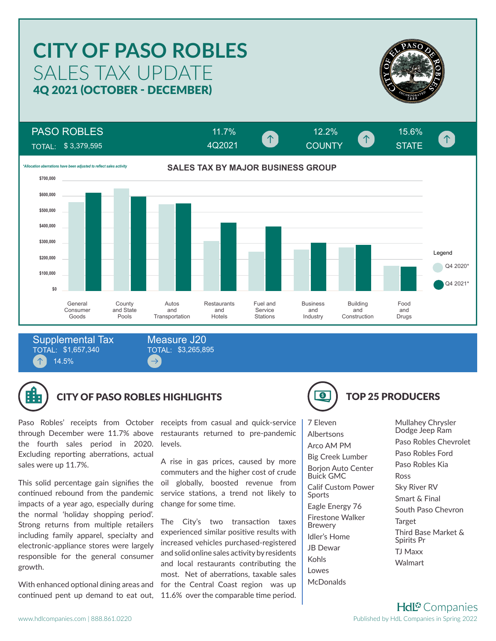# SALES TAX UPDATE **CITY OF PASO ROBLES** 4Q 2021 (OCTOBER - DECEMBER)



 $\uparrow$ 

PASO ROBLES

TOTAL: \$ 3,379,595



4Q2021

TOTAL: \$1,657,340 14.5% Supplemental Tax TOTAL: \$3,265,895 Measure J20



### CITY OF PASO ROBLES HIGHLIGHTS **TOP 25 PRODUCERS**

 $\rightarrow$ 

the fourth sales period in 2020. Excluding reporting aberrations, actual sales were up 11.7%.

This solid percentage gain signifies the continued rebound from the pandemic impacts of a year ago, especially during the normal 'holiday shopping period'. Strong returns from multiple retailers including family apparel, specialty and electronic-appliance stores were largely responsible for the general consumer growth.

With enhanced optional dining areas and

Paso Robles' receipts from October receipts from casual and quick-service through December were 11.7% above restaurants returned to pre-pandemic levels.

> A rise in gas prices, caused by more commuters and the higher cost of crude oil globally, boosted revenue from service stations, a trend not likely to change for some time.

continued pent up demand to eat out, 11.6% over the comparable time period. The City's two transaction taxes experienced similar positive results with increased vehicles purchased-registered and solid online sales activity by residents and local restaurants contributing the most. Net of aberrations, taxable sales for the Central Coast region was up



11.7% 12.2% 15.6%

COUNTY **WE STATE** 

7 Eleven Albertsons Arco AM PM Big Creek Lumber Borjon Auto Center Buick GMC Calif Custom Power Sports Eagle Energy 76 Firestone Walker Brewery Idler's Home JB Dewar Kohls Lowes McDonalds

Mullahey Chrysler Dodge Jeep Ram Paso Robles Chevrolet Paso Robles Ford Paso Robles Kia Ross Sky River RV Smart & Final South Paso Chevron Target Third Base Market & Spirits Pr TJ Maxx Walmart